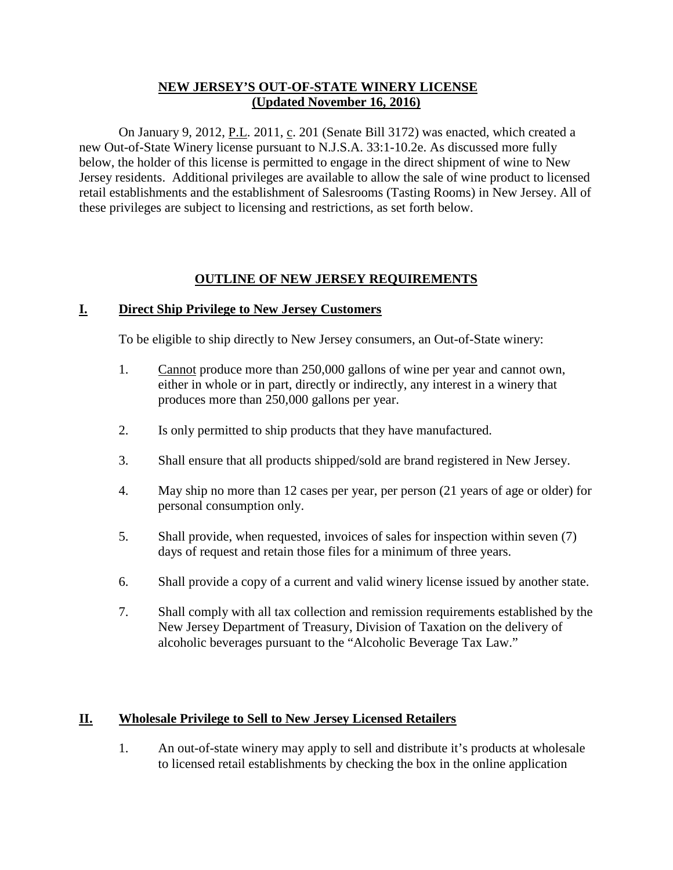### **NEW JERSEY'S OUT-OF-STATE WINERY LICENSE (Updated November 16, 2016)**

On January 9, 2012, P.L. 2011, c. 201 (Senate Bill 3172) was enacted, which created a new Out-of-State Winery license pursuant to N.J.S.A. 33:1-10.2e. As discussed more fully below, the holder of this license is permitted to engage in the direct shipment of wine to New Jersey residents. Additional privileges are available to allow the sale of wine product to licensed retail establishments and the establishment of Salesrooms (Tasting Rooms) in New Jersey. All of these privileges are subject to licensing and restrictions, as set forth below.

#### **OUTLINE OF NEW JERSEY REQUIREMENTS**

#### **I. Direct Ship Privilege to New Jersey Customers**

To be eligible to ship directly to New Jersey consumers, an Out-of-State winery:

- 1. Cannot produce more than 250,000 gallons of wine per year and cannot own, either in whole or in part, directly or indirectly, any interest in a winery that produces more than 250,000 gallons per year.
- 2. Is only permitted to ship products that they have manufactured.
- 3. Shall ensure that all products shipped/sold are brand registered in New Jersey.
- 4. May ship no more than 12 cases per year, per person (21 years of age or older) for personal consumption only.
- 5. Shall provide, when requested, invoices of sales for inspection within seven (7) days of request and retain those files for a minimum of three years.
- 6. Shall provide a copy of a current and valid winery license issued by another state.
- 7. Shall comply with all tax collection and remission requirements established by the New Jersey Department of Treasury, Division of Taxation on the delivery of alcoholic beverages pursuant to the "Alcoholic Beverage Tax Law."

#### **II. Wholesale Privilege to Sell to New Jersey Licensed Retailers**

1. An out-of-state winery may apply to sell and distribute it's products at wholesale to licensed retail establishments by checking the box in the online application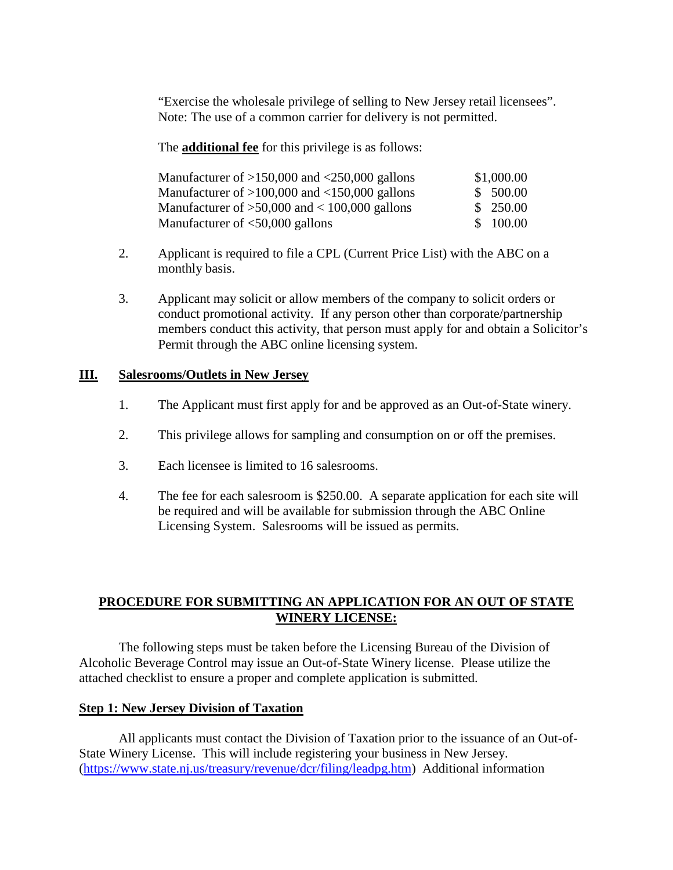"Exercise the wholesale privilege of selling to New Jersey retail licensees". Note: The use of a common carrier for delivery is not permitted.

The **additional fee** for this privilege is as follows:

| Manufacturer of $>150,000$ and $<250,000$ gallons | \$1,000.00 |
|---------------------------------------------------|------------|
| Manufacturer of $>100,000$ and $<150,000$ gallons | \$500.00   |
| Manufacturer of $>50,000$ and $< 100,000$ gallons | \$250.00   |
| Manufacturer of $<$ 50,000 gallons                | \$100.00   |

- 2. Applicant is required to file a CPL (Current Price List) with the ABC on a monthly basis.
- 3. Applicant may solicit or allow members of the company to solicit orders or conduct promotional activity. If any person other than corporate/partnership members conduct this activity, that person must apply for and obtain a Solicitor's Permit through the ABC online licensing system.

#### **III. Salesrooms/Outlets in New Jersey**

- 1. The Applicant must first apply for and be approved as an Out-of-State winery.
- 2. This privilege allows for sampling and consumption on or off the premises.
- 3. Each licensee is limited to 16 salesrooms.
- 4. The fee for each salesroom is \$250.00. A separate application for each site will be required and will be available for submission through the ABC Online Licensing System. Salesrooms will be issued as permits.

## **PROCEDURE FOR SUBMITTING AN APPLICATION FOR AN OUT OF STATE WINERY LICENSE:**

The following steps must be taken before the Licensing Bureau of the Division of Alcoholic Beverage Control may issue an Out-of-State Winery license. Please utilize the attached checklist to ensure a proper and complete application is submitted.

#### **Step 1: New Jersey Division of Taxation**

All applicants must contact the Division of Taxation prior to the issuance of an Out-of-State Winery License. This will include registering your business in New Jersey. [\(https://www.state.nj.us/treasury/revenue/dcr/filing/leadpg.htm\)](https://www.state.nj.us/treasury/revenue/dcr/filing/leadpg.htm) Additional information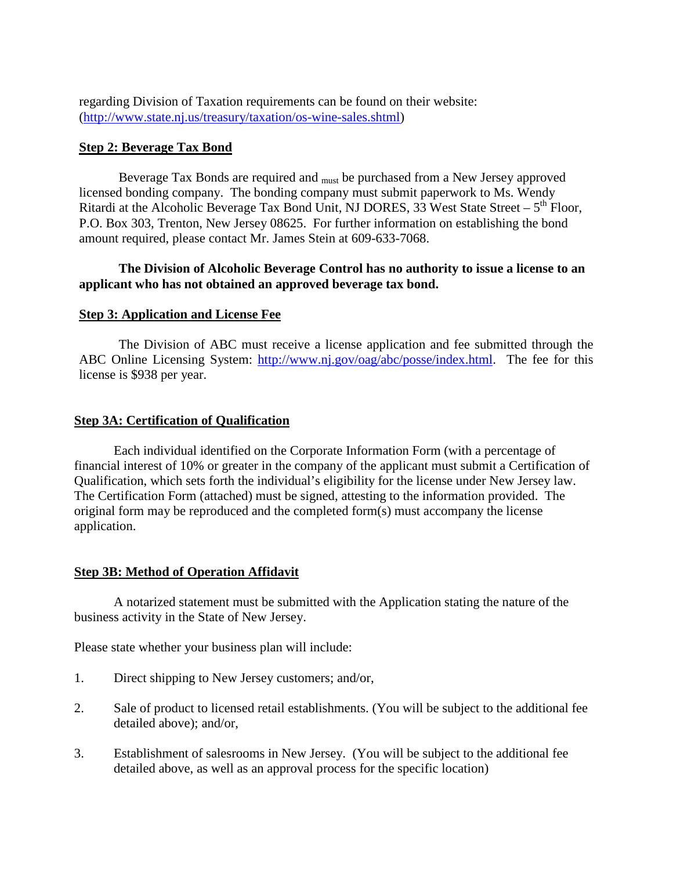regarding Division of Taxation requirements can be found on their website: (http://www.state.nj.us/treasury/taxation/os-wine-sales.shtml)

#### **Step 2: Beverage Tax Bond**

Beverage Tax Bonds are required and <sub>must</sub> be purchased from a New Jersey approved licensed bonding company. The bonding company must submit paperwork to Ms. Wendy Ritardi at the Alcoholic Beverage Tax Bond Unit, NJ DORES, 33 West State Street –  $5<sup>th</sup>$  Floor, P.O. Box 303, Trenton, New Jersey 08625. For further information on establishing the bond amount required, please contact Mr. James Stein at 609-633-7068.

#### **The Division of Alcoholic Beverage Control has no authority to issue a license to an applicant who has not obtained an approved beverage tax bond.**

#### **Step 3: Application and License Fee**

The Division of ABC must receive a license application and fee submitted through the ABC Online Licensing System: [http://www.nj.gov/oag/abc/posse/index.html.](http://www.nj.gov/oag/abc/posse/index.html) The fee for this license is \$938 per year.

#### **Step 3A: Certification of Qualification**

Each individual identified on the Corporate Information Form (with a percentage of financial interest of 10% or greater in the company of the applicant must submit a Certification of Qualification, which sets forth the individual's eligibility for the license under New Jersey law. The Certification Form (attached) must be signed, attesting to the information provided. The original form may be reproduced and the completed form(s) must accompany the license application.

#### **Step 3B: Method of Operation Affidavit**

A notarized statement must be submitted with the Application stating the nature of the business activity in the State of New Jersey.

Please state whether your business plan will include:

- 1. Direct shipping to New Jersey customers; and/or,
- 2. Sale of product to licensed retail establishments. (You will be subject to the additional fee detailed above); and/or,
- 3. Establishment of salesrooms in New Jersey. (You will be subject to the additional fee detailed above, as well as an approval process for the specific location)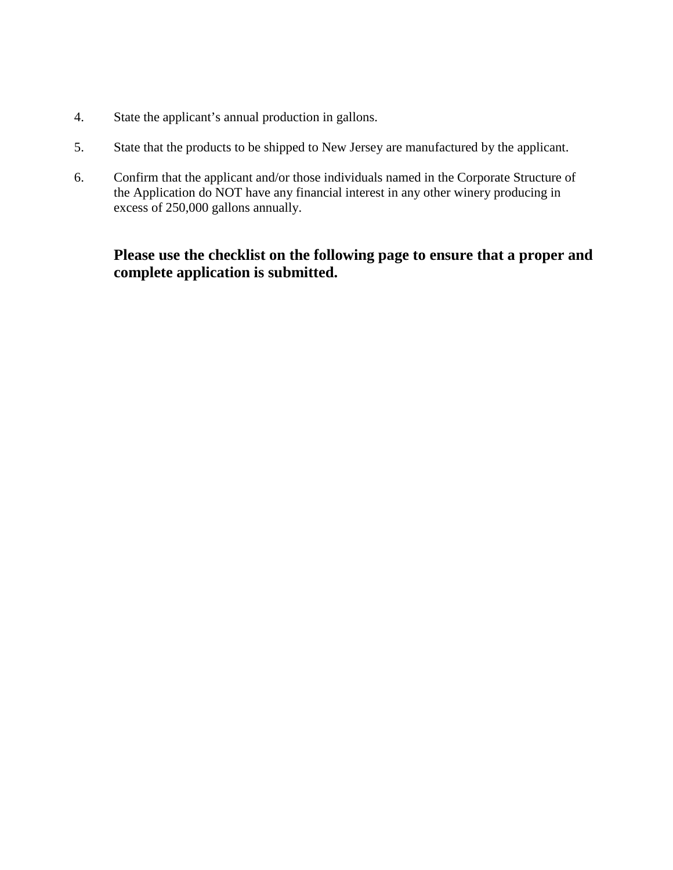- 4. State the applicant's annual production in gallons.
- 5. State that the products to be shipped to New Jersey are manufactured by the applicant.
- 6. Confirm that the applicant and/or those individuals named in the Corporate Structure of the Application do NOT have any financial interest in any other winery producing in excess of 250,000 gallons annually.

# **Please use the checklist on the following page to ensure that a proper and complete application is submitted.**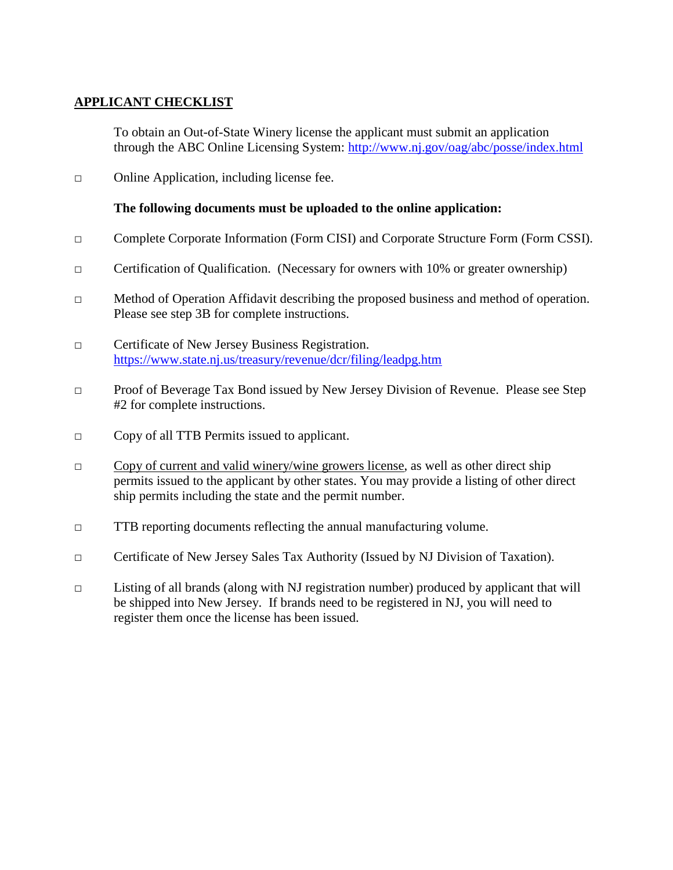# **APPLICANT CHECKLIST**

To obtain an Out-of-State Winery license the applicant must submit an application through the ABC Online Licensing System:<http://www.nj.gov/oag/abc/posse/index.html>

□ Online Application, including license fee.

## **The following documents must be uploaded to the online application:**

- □ Complete Corporate Information (Form CISI) and Corporate Structure Form (Form CSSI).
- □ Certification of Qualification. (Necessary for owners with 10% or greater ownership)
- $\Box$  Method of Operation Affidavit describing the proposed business and method of operation. Please see step 3B for complete instructions.
- □ Certificate of New Jersey Business Registration. <https://www.state.nj.us/treasury/revenue/dcr/filing/leadpg.htm>
- □ Proof of Beverage Tax Bond issued by New Jersey Division of Revenue. Please see Step #2 for complete instructions.
- □ Copy of all TTB Permits issued to applicant.
- $\Box$  Copy of current and valid winery/wine growers license, as well as other direct ship permits issued to the applicant by other states. You may provide a listing of other direct ship permits including the state and the permit number.
- $\Box$  TTB reporting documents reflecting the annual manufacturing volume.
- □ Certificate of New Jersey Sales Tax Authority (Issued by NJ Division of Taxation).
- $\Box$  Listing of all brands (along with NJ registration number) produced by applicant that will be shipped into New Jersey. If brands need to be registered in NJ, you will need to register them once the license has been issued.